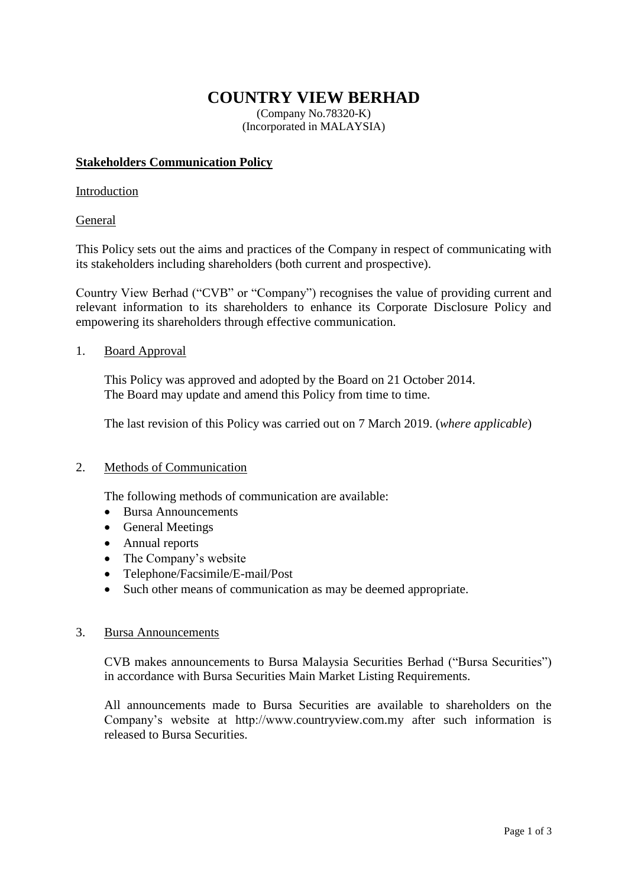# **COUNTRY VIEW BERHAD**

(Company No.78320-K) (Incorporated in MALAYSIA)

### **Stakeholders Communication Policy**

### Introduction

## General

This Policy sets out the aims and practices of the Company in respect of communicating with its stakeholders including shareholders (both current and prospective).

Country View Berhad ("CVB" or "Company") recognises the value of providing current and relevant information to its shareholders to enhance its Corporate Disclosure Policy and empowering its shareholders through effective communication.

## 1. Board Approval

This Policy was approved and adopted by the Board on 21 October 2014. The Board may update and amend this Policy from time to time.

The last revision of this Policy was carried out on 7 March 2019. (*where applicable*)

### 2. Methods of Communication

The following methods of communication are available:

- Bursa Announcements
- General Meetings
- Annual reports
- The Company's website
- Telephone/Facsimile/E-mail/Post
- Such other means of communication as may be deemed appropriate.

### 3. Bursa Announcements

CVB makes announcements to Bursa Malaysia Securities Berhad ("Bursa Securities") in accordance with Bursa Securities Main Market Listing Requirements.

All announcements made to Bursa Securities are available to shareholders on the Company's website at http://www.countryview.com.my after such information is released to Bursa Securities.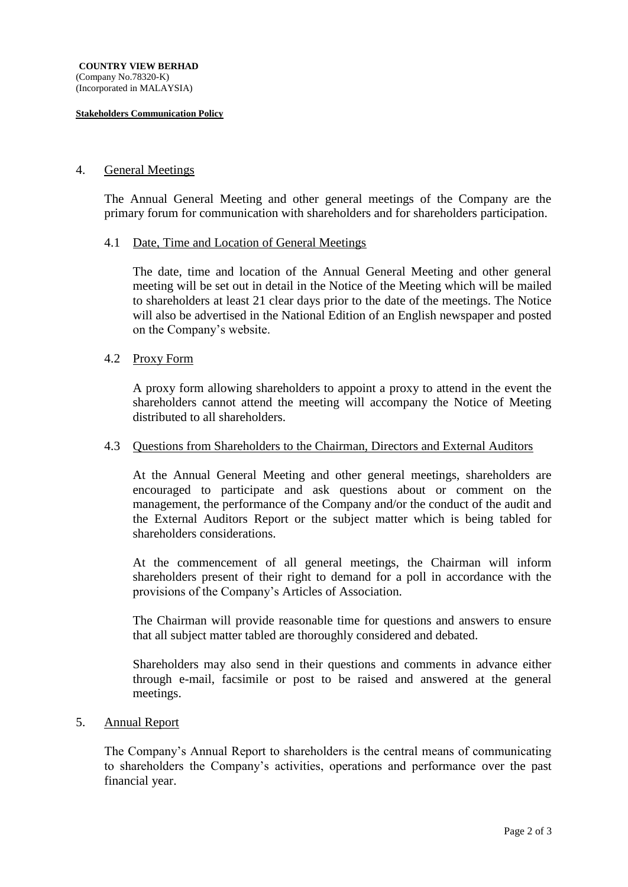#### **Stakeholders Communication Policy**

### 4. General Meetings

The Annual General Meeting and other general meetings of the Company are the primary forum for communication with shareholders and for shareholders participation.

#### 4.1 Date, Time and Location of General Meetings

The date, time and location of the Annual General Meeting and other general meeting will be set out in detail in the Notice of the Meeting which will be mailed to shareholders at least 21 clear days prior to the date of the meetings. The Notice will also be advertised in the National Edition of an English newspaper and posted on the Company's website.

#### 4.2 Proxy Form

A proxy form allowing shareholders to appoint a proxy to attend in the event the shareholders cannot attend the meeting will accompany the Notice of Meeting distributed to all shareholders.

#### 4.3 Questions from Shareholders to the Chairman, Directors and External Auditors

At the Annual General Meeting and other general meetings, shareholders are encouraged to participate and ask questions about or comment on the management, the performance of the Company and/or the conduct of the audit and the External Auditors Report or the subject matter which is being tabled for shareholders considerations.

At the commencement of all general meetings, the Chairman will inform shareholders present of their right to demand for a poll in accordance with the provisions of the Company's Articles of Association.

The Chairman will provide reasonable time for questions and answers to ensure that all subject matter tabled are thoroughly considered and debated.

Shareholders may also send in their questions and comments in advance either through e-mail, facsimile or post to be raised and answered at the general meetings.

#### 5. Annual Report

The Company's Annual Report to shareholders is the central means of communicating to shareholders the Company's activities, operations and performance over the past financial year.